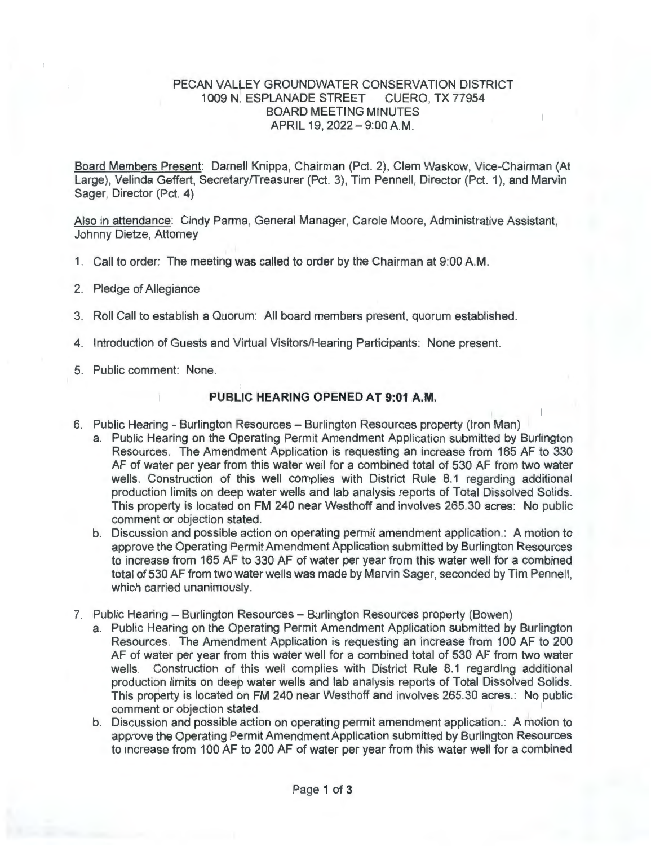## PECAN VALLEY GROUNDWATER CONSERVATION DISTRICT 1009 N. ESPLANADE STREET CUERO, TX 77954 BOARD MEETING MINUTES APRIL 19, 2022-9:00 AM.

Board Members Present: Darnell Knippa, Chairman (Pct. 2), Clem Waskow, Vice-Chairman (At Large), Velinda Geffert, Secretary/Treasurer (Pct. 3), Tim Pennell, Director (Pct. 1), and Marvin Sager, Director (Pct. 4)

Also in attendance: Cindy Parma, General Manager, Carole Moore, Administrative Assistant, Johnny Dietze, Attorney

- 1. Call to order: The meeting was called to order by the Chairman at 9:00 AM.
- 2. Pledge of Allegiance
- 3. Roll Call to establish a Quorum: All board members present, quorum established.
- 4. Introduction of Guests and Virtual Visitors/Hearing Participants: None present.
- 5. Public comment: None.

## I **PUBLIC HEARING OPENED AT 9:01 A.M.**

- 6. Public Hearing Burlington Resources Burlington Resources property (Iron Man)
	- a. Public Hearing on the Operating Permit Amendment Application submitted by Burlington Resources. The Amendment Application is requesting an increase from 165 AF to 330 AF of water per year from this water well for a combined total of 530 AF from two water wells. Construction of this well complies with District Rule 8.1 regarding additional production limits on deep water wells and lab analysis reports of Total Dissolved Solids. This property is located on FM 240 near Westhoff and involves 265.30 acres: No public comment or objection stated.
	- b. Discussion and possible action on operating permit amendment application. : A motion to approve the Operating Permit Amendment Application submitted by Burlington Resources to increase from 165 AF to 330 AF of water per year from this water well for a combined total of 530 AF from two water wells was made by Marvin Sager, seconded by Tim Pennell, which carried unanimously.
- 7. Public Hearing Burlington Resources Burlington Resources property (Bowen)
	- a. Public Hearing on the Operating Permit Amendment Application submitted by Burlington Resources. The Amendment Application is requesting an increase from 100 AF to 200 AF of water per year from this water well for a combined total of 530 AF from two water wells. Construction of this well complies with District Rule 8.1 regarding additional production limits on deep water wells and lab analysis reports of Total Dissolved Solids. This property is located on FM 240 near Westhoff and involves 265.30 acres.: No public comment or objection stated.
	- b. Discussion and possible action on operating permit amendment application.: A motion to approve the Operating Permit Amendment Application submitted by Burlington Resources to increase from 100 AF to 200 AF of water per year from this water well for a combined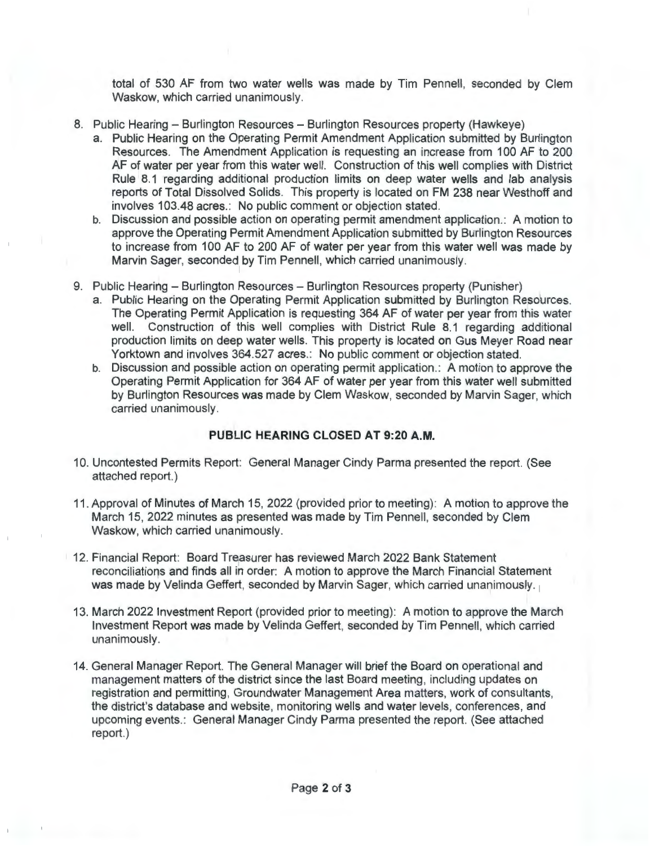total of 530 AF from two water wells was made by Tim Pennell, seconded by Clem Waskow, which carried unanimously.

- 8. Public Hearing Burlington Resources Burlington Resources property (Hawkeye)
	- a. Public Hearing on the Operating Permit Amendment Application submitted by Burlington Resources. The Amendment Application is requesting an increase from 100 AF to 200 AF of water per year from this water well. Construction of this well complies with District Rule 8.1 regarding additional production limits on deep water wells and lab analysis reports of Total Dissolved Solids. This property is located on FM 238 near Westhoff and involves 103.48 acres.: No public comment or objection stated.
	- b. Discussion and possible action on operating permit amendment application.: A motion to approve the Operating Permit Amendment Application submitted by Burlington Resources to increase from 100 AF to 200 AF of water per year from this water well was made by Marvin Sager, seconded by Tim Pennell, which carried unanimously.
- 9. Public Hearing Burlington Resources Burlington Resources property (Punisher)
	- a. Public Hearing on the Operating Permit Application submitted by Burlington Resources. The Operating Permit Application is requesting 364 AF of water per year from this water well. Construction of this well complies with District Rule 8.1 regarding additional production limits on deep water wells. This property is located on Gus Meyer Road near Yorktown and involves 364.527 acres.: No public comment or objection stated.
	- b. Discussion and possible action on operating permit application.: A motion to approve the Operating Permit Application for 364 AF of water per year from this water well submitted by Burlington Resources was made by Clem Waskow, seconded by Marvin Sager, which carried unanimously.

## **PUBLIC HEARING CLOSED AT 9:20 A.M.**

- 10. Uncontested Permits Report: General Manager Cindy Parma presented the report. (See attached report.)
- 11 . Approval of Minutes of March 15, 2022 (provided prior to meeting): A motion to approve the March 15, 2022 minutes as presented was made by Tim Pennell, seconded by Clem Waskow, which carried unanimously.
- 12. Financial Report: Board Treasurer has reviewed March 2022 Bank Statement reconciliations and finds all in order: A motion to approve the March Financial Statement was made by Velinda Geffert, seconded by Marvin Sager, which carried unanimously. 1
- 13. March 2022 Investment Report (provided prior to meeting): A motion to approve the March Investment Report was made by Velinda Geffert, seconded by Tim Pennell, which carried unanimously.
- 14. General Manager Report. The General Manager will brief the Board on operational and management matters of the district since the last Board meeting, including updates on registration and permitting, Groundwater Management Area matters, work of consultants, the district's database and website, monitoring wells and water levels, conferences, and upcoming events.: General Manager Cindy Parma presented the report. (See attached report.)